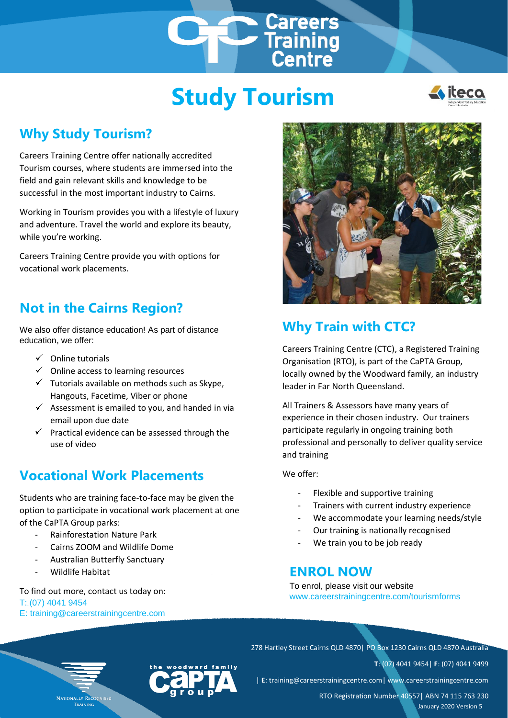# **Study Tourism**

**Careers<br>Training<br>Centre** 



## **Why Study Tourism?**

Careers Training Centre offer nationally accredited Tourism courses, where students are immersed into the field and gain relevant skills and knowledge to be successful in the most important industry to Cairns.

Working in Tourism provides you with a lifestyle of luxury and adventure. Travel the world and explore its beauty, while you're working.

Careers Training Centre provide you with options for vocational work placements.

### **Not in the Cairns Region?**

We also offer distance education! As part of distance education, we offer:

- $\checkmark$  Online tutorials
- $\checkmark$  Online access to learning resources
- $\checkmark$  Tutorials available on methods such as Skype, Hangouts, Facetime, Viber or phone
- $\checkmark$  Assessment is emailed to you, and handed in via email upon due date
- $\checkmark$  Practical evidence can be assessed through the use of video

## **Vocational Work Placements**

Students who are training face-to-face may be given the option to participate in vocational work placement at one of the CaPTA Group parks:

- Rainforestation Nature Park
- Cairns ZOOM and Wildlife Dome
- Australian Butterfly Sanctuary
- Wildlife Habitat

To find out more, contact us today on: T: (07) 4041 9454 E: training@careerstrainingcentre.com



## **Why Train with CTC?**

Careers Training Centre (CTC), a Registered Training Organisation (RTO), is part of the CaPTA Group, locally owned by the Woodward family, an industry leader in Far North Queensland.

All Trainers & Assessors have many years of experience in their chosen industry. Our trainers participate regularly in ongoing training both professional and personally to deliver quality service and training

We offer:

- Flexible and supportive training
- Trainers with current industry experience
- We accommodate your learning needs/style
- Our training is nationally recognised
- We train you to be job ready

### **ENROL NOW**

To enrol, please visit our website www.careerstrainingcentre.com/tourismforms



278 Hartley Street Cairns QLD 4870| PO Box 1230 Cairns QLD 4870 Australia

**T**: (07) 4041 9454| **F**: (07) 4041 9499

| **E**: training@careerstrainingcentre.com| www.careerstrainingcentre.com

RTO Registration Number 40557| ABN 74 115 763 230 January 2020 Version 5